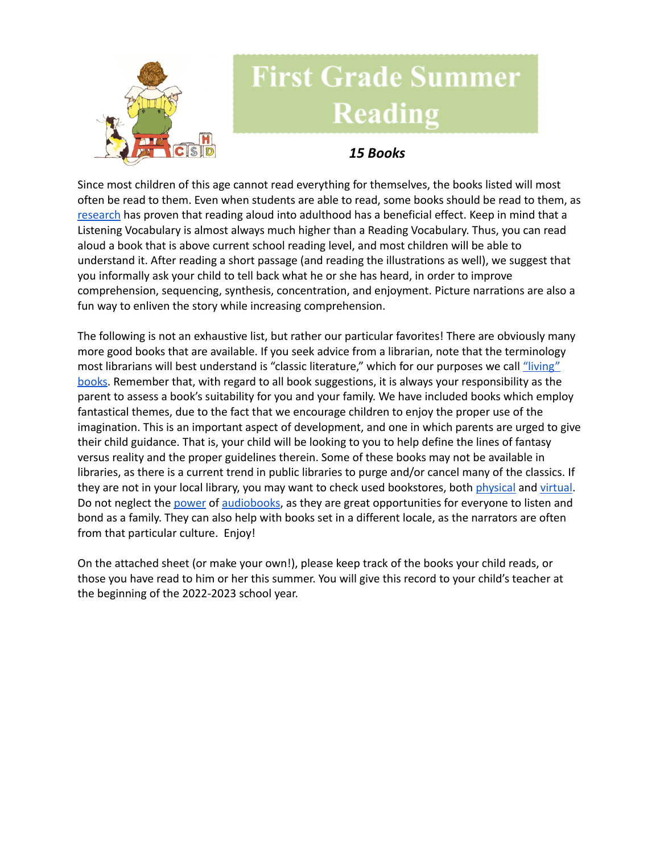

## **First Grade Summer Reading**

## *15 Books*

Since most children of this age cannot read everything for themselves, the books listed will most often be read to them. Even when students are able to read, some books should be read to them, as [research](https://www.greatschools.org/gk/articles/read-aloud-to-children/) has proven that reading aloud into adulthood has a beneficial effect. Keep in mind that a Listening Vocabulary is almost always much higher than a Reading Vocabulary. Thus, you can read aloud a book that is above current school reading level, and most children will be able to understand it. After reading a short passage (and reading the illustrations as well), we suggest that you informally ask your child to tell back what he or she has heard, in order to improve comprehension, sequencing, synthesis, concentration, and enjoyment. Picture narrations are also a fun way to enliven the story while increasing comprehension.

The following is not an exhaustive list, but rather our particular favorites! There are obviously many more good books that are available. If you seek advice from a librarian, note that the terminology most librarians will best understand is "classic literature," which for our purposes we call ["living"](https://charlottemasonhome.com/2007/05/30/literature-by-grade/) [books.](https://charlottemasonhome.com/2007/05/30/literature-by-grade/) Remember that, with regard to all book suggestions, it is always your responsibility as the parent to assess a book's suitability for you and your family. We have included books which employ fantastical themes, due to the fact that we encourage children to enjoy the proper use of the imagination. This is an important aspect of development, and one in which parents are urged to give their child guidance. That is, your child will be looking to you to help define the lines of fantasy versus reality and the proper guidelines therein. Some of these books may not be available in libraries, as there is a current trend in public libraries to purge and/or cancel many of the classics. If they are not in your local library, you may want to check used bookstores, both [physical](https://www.atlantaparent.com/top-kids-bookstores-in-atlanta/) and [virtual](https://booksliced.com/books/here-are-the-20-best-websites-to-use-next-time-you-shop-for-paperback-and-hardcover-books-online/). Do not neglect the [power](https://www.learningliftoff.com/free-audio-books-for-kids/) of [audiobooks](https://mashable.com/article/free-audiobooks/), as they are great opportunities for everyone to listen and bond as a family. They can also help with books set in a different locale, as the narrators are often from that particular culture. Enjoy!

On the attached sheet (or make your own!), please keep track of the books your child reads, or those you have read to him or her this summer. You will give this record to your child's teacher at the beginning of the 2022-2023 school year.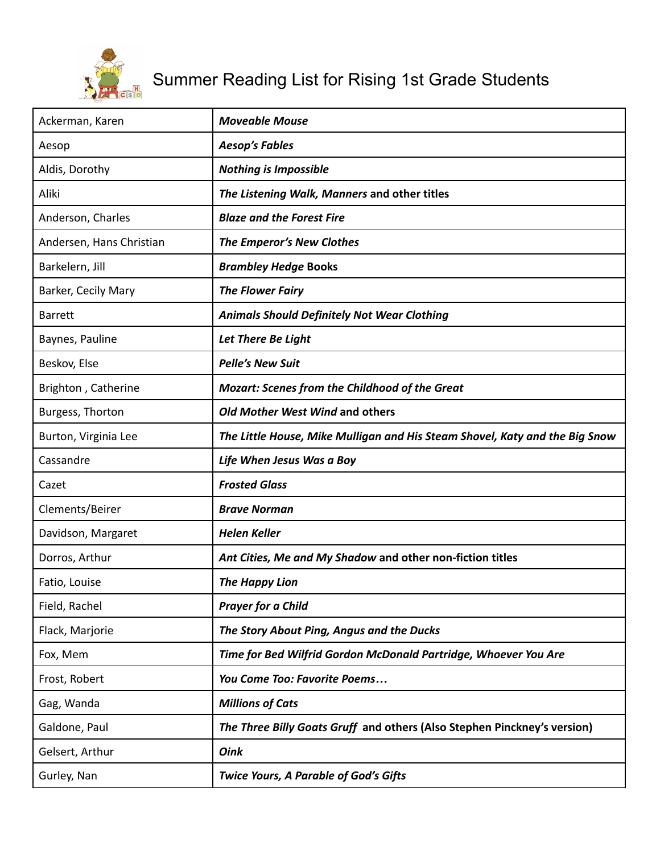

## Summer Reading List for Rising 1st Grade Students

| Ackerman, Karen          | <b>Moveable Mouse</b>                                                       |
|--------------------------|-----------------------------------------------------------------------------|
| Aesop                    | <b>Aesop's Fables</b>                                                       |
| Aldis, Dorothy           | <b>Nothing is Impossible</b>                                                |
| Aliki                    | The Listening Walk, Manners and other titles                                |
| Anderson, Charles        | <b>Blaze and the Forest Fire</b>                                            |
| Andersen, Hans Christian | The Emperor's New Clothes                                                   |
| Barkelern, Jill          | <b>Brambley Hedge Books</b>                                                 |
| Barker, Cecily Mary      | <b>The Flower Fairy</b>                                                     |
| <b>Barrett</b>           | <b>Animals Should Definitely Not Wear Clothing</b>                          |
| Baynes, Pauline          | Let There Be Light                                                          |
| Beskov, Else             | <b>Pelle's New Suit</b>                                                     |
| Brighton, Catherine      | <b>Mozart: Scenes from the Childhood of the Great</b>                       |
| Burgess, Thorton         | Old Mother West Wind and others                                             |
| Burton, Virginia Lee     | The Little House, Mike Mulligan and His Steam Shovel, Katy and the Big Snow |
| Cassandre                | Life When Jesus Was a Boy                                                   |
| Cazet                    | <b>Frosted Glass</b>                                                        |
| Clements/Beirer          | <b>Brave Norman</b>                                                         |
| Davidson, Margaret       | <b>Helen Keller</b>                                                         |
| Dorros, Arthur           | Ant Cities, Me and My Shadow and other non-fiction titles                   |
| Fatio, Louise            | <b>The Happy Lion</b>                                                       |
|                          |                                                                             |
| Field, Rachel            | <b>Prayer for a Child</b>                                                   |
| Flack, Marjorie          | The Story About Ping, Angus and the Ducks                                   |
| Fox, Mem                 | Time for Bed Wilfrid Gordon McDonald Partridge, Whoever You Are             |
| Frost, Robert            | You Come Too: Favorite Poems                                                |
| Gag, Wanda               | <b>Millions of Cats</b>                                                     |
| Galdone, Paul            | The Three Billy Goats Gruff and others (Also Stephen Pinckney's version)    |
| Gelsert, Arthur          | <b>Oink</b>                                                                 |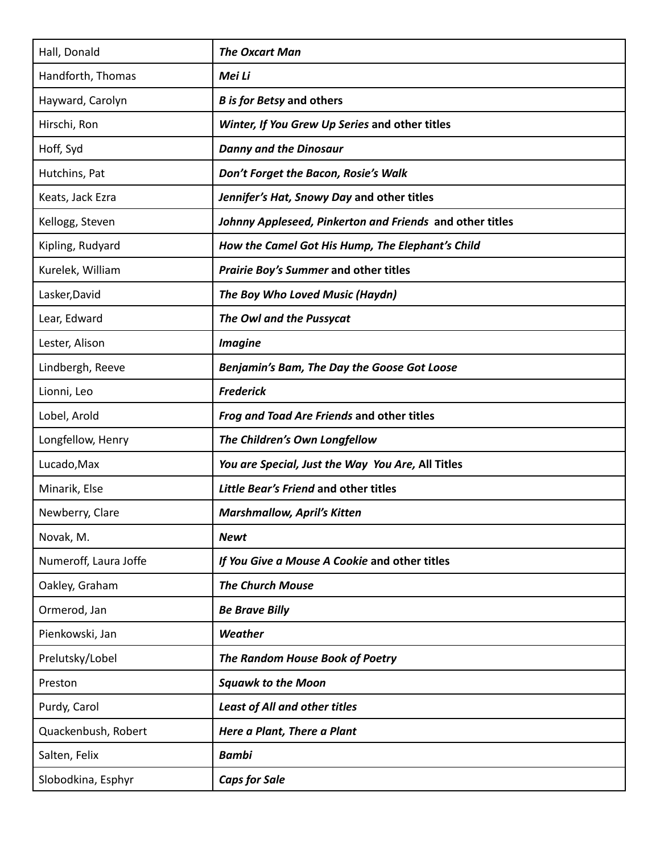| Hall, Donald          | <b>The Oxcart Man</b>                                    |
|-----------------------|----------------------------------------------------------|
| Handforth, Thomas     | Mei Li                                                   |
| Hayward, Carolyn      | <b>B</b> is for Betsy and others                         |
| Hirschi, Ron          | Winter, If You Grew Up Series and other titles           |
| Hoff, Syd             | <b>Danny and the Dinosaur</b>                            |
| Hutchins, Pat         | Don't Forget the Bacon, Rosie's Walk                     |
| Keats, Jack Ezra      | Jennifer's Hat, Snowy Day and other titles               |
| Kellogg, Steven       | Johnny Appleseed, Pinkerton and Friends and other titles |
| Kipling, Rudyard      | How the Camel Got His Hump, The Elephant's Child         |
| Kurelek, William      | <b>Prairie Boy's Summer and other titles</b>             |
| Lasker, David         | The Boy Who Loved Music (Haydn)                          |
| Lear, Edward          | The Owl and the Pussycat                                 |
| Lester, Alison        | <b>Imagine</b>                                           |
| Lindbergh, Reeve      | Benjamin's Bam, The Day the Goose Got Loose              |
| Lionni, Leo           | <b>Frederick</b>                                         |
| Lobel, Arold          | Frog and Toad Are Friends and other titles               |
| Longfellow, Henry     | The Children's Own Longfellow                            |
| Lucado, Max           | You are Special, Just the Way You Are, All Titles        |
| Minarik, Else         | Little Bear's Friend and other titles                    |
| Newberry, Clare       | <b>Marshmallow, April's Kitten</b>                       |
| Novak, M.             | <b>Newt</b>                                              |
| Numeroff, Laura Joffe | If You Give a Mouse A Cookie and other titles            |
| Oakley, Graham        | <b>The Church Mouse</b>                                  |
| Ormerod, Jan          | <b>Be Brave Billy</b>                                    |
| Pienkowski, Jan       | Weather                                                  |
| Prelutsky/Lobel       | The Random House Book of Poetry                          |
| Preston               | <b>Squawk to the Moon</b>                                |
| Purdy, Carol          | Least of All and other titles                            |
| Quackenbush, Robert   | Here a Plant, There a Plant                              |
| Salten, Felix         | <b>Bambi</b>                                             |
| Slobodkina, Esphyr    | <b>Caps for Sale</b>                                     |